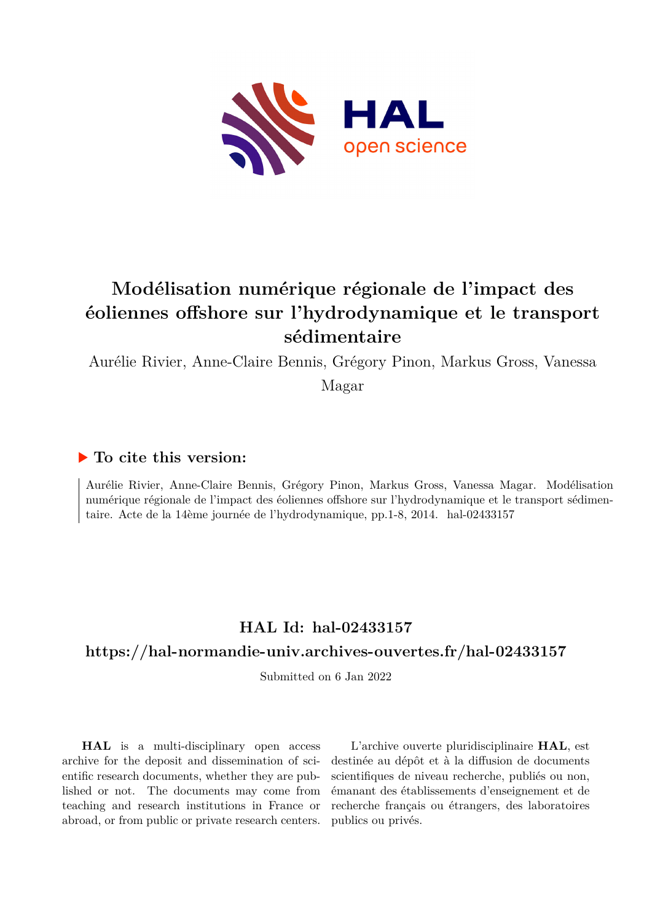

# **Modélisation numérique régionale de l'impact des éoliennes offshore sur l'hydrodynamique et le transport sédimentaire**

Aurélie Rivier, Anne-Claire Bennis, Grégory Pinon, Markus Gross, Vanessa

Magar

## **To cite this version:**

Aurélie Rivier, Anne-Claire Bennis, Grégory Pinon, Markus Gross, Vanessa Magar. Modélisation numérique régionale de l'impact des éoliennes offshore sur l'hydrodynamique et le transport sédimentaire. Acte de la 14ème journée de l'hydrodynamique, pp.1-8, 2014. hal-02433157

## **HAL Id: hal-02433157**

## **<https://hal-normandie-univ.archives-ouvertes.fr/hal-02433157>**

Submitted on 6 Jan 2022

**HAL** is a multi-disciplinary open access archive for the deposit and dissemination of scientific research documents, whether they are published or not. The documents may come from teaching and research institutions in France or abroad, or from public or private research centers.

L'archive ouverte pluridisciplinaire **HAL**, est destinée au dépôt et à la diffusion de documents scientifiques de niveau recherche, publiés ou non, émanant des établissements d'enseignement et de recherche français ou étrangers, des laboratoires publics ou privés.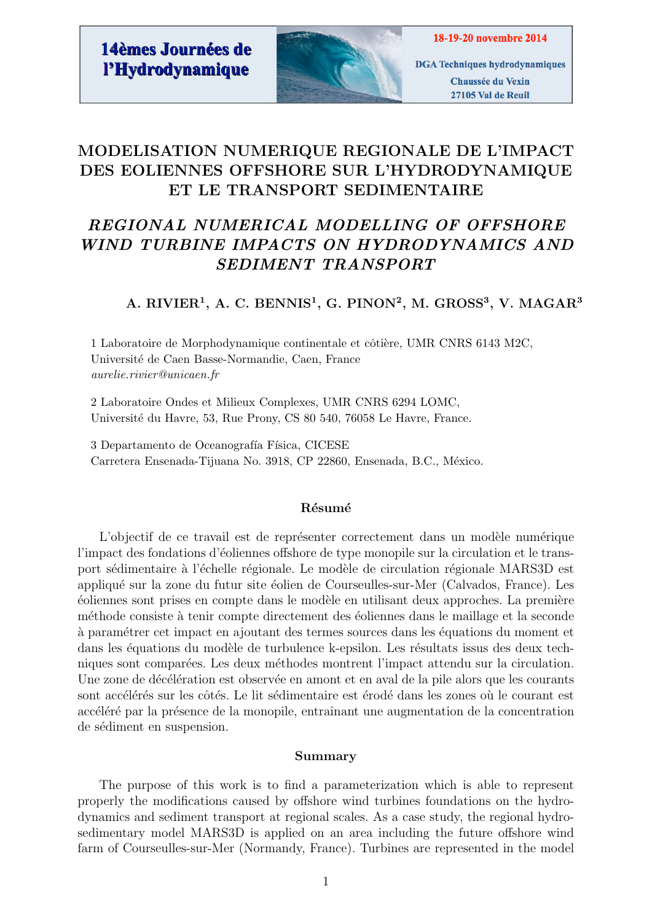

**DGA** Techniques hydrodynamiques Chaussée du Vexin 27105 Val de Reuil

## MODELISATION NUMERIQUE REGIONALE DE L'IMPACT DES EOLIENNES OFFSHORE SUR L'HYDRODYNAMIQUE ET LE TRANSPORT SEDIMENTAIRE

## REGIONAL NUMERICAL MODELLING OF OFFSHORE WIND TURBINE IMPACTS ON HYDRODYNAMICS AND SEDIMENT TRANSPORT

A. RIVIER<sup>1</sup>, A. C. BENNIS<sup>1</sup>, G. PINON<sup>2</sup>, M. GROSS<sup>3</sup>, V. MAGAR<sup>3</sup>

1 Laboratoire de Morphodynamique continentale et côtière, UMR CNRS 6143 M2C, Universit´e de Caen Basse-Normandie, Caen, France aurelie.rivier@unicaen.fr

2 Laboratoire Ondes et Milieux Complexes, UMR CNRS 6294 LOMC, Universit´e du Havre, 53, Rue Prony, CS 80 540, 76058 Le Havre, France.

3 Departamento de Oceanografía Física, CICESE Carretera Ensenada-Tijuana No. 3918, CP 22860, Ensenada, B.C., México.

## Résumé

L'objectif de ce travail est de représenter correctement dans un modèle numérique l'impact des fondations d'éoliennes offshore de type monopile sur la circulation et le transport sédimentaire à l'échelle régionale. Le modèle de circulation régionale MARS3D est appliqué sur la zone du futur site éolien de Courseulles-sur-Mer (Calvados, France). Les  $\acute{e}$ oliennes sont prises en compte dans le modèle en utilisant deux approches. La première m´ethode consiste `a tenir compte directement des ´eoliennes dans le maillage et la seconde à paramétrer cet impact en ajoutant des termes sources dans les équations du moment et dans les équations du modèle de turbulence k-epsilon. Les résultats issus des deux techniques sont comparées. Les deux méthodes montrent l'impact attendu sur la circulation. Une zone de décélération est observée en amont et en aval de la pile alors que les courants sont accélérés sur les côtés. Le lit sédimentaire est érodé dans les zones où le courant est accéléré par la présence de la monopile, entraînant une augmentation de la concentration de sédiment en suspension.

## Summary

The purpose of this work is to find a parameterization which is able to represent properly the modifications caused by offshore wind turbines foundations on the hydrodynamics and sediment transport at regional scales. As a case study, the regional hydrosedimentary model MARS3D is applied on an area including the future offshore wind farm of Courseulles-sur-Mer (Normandy, France). Turbines are represented in the model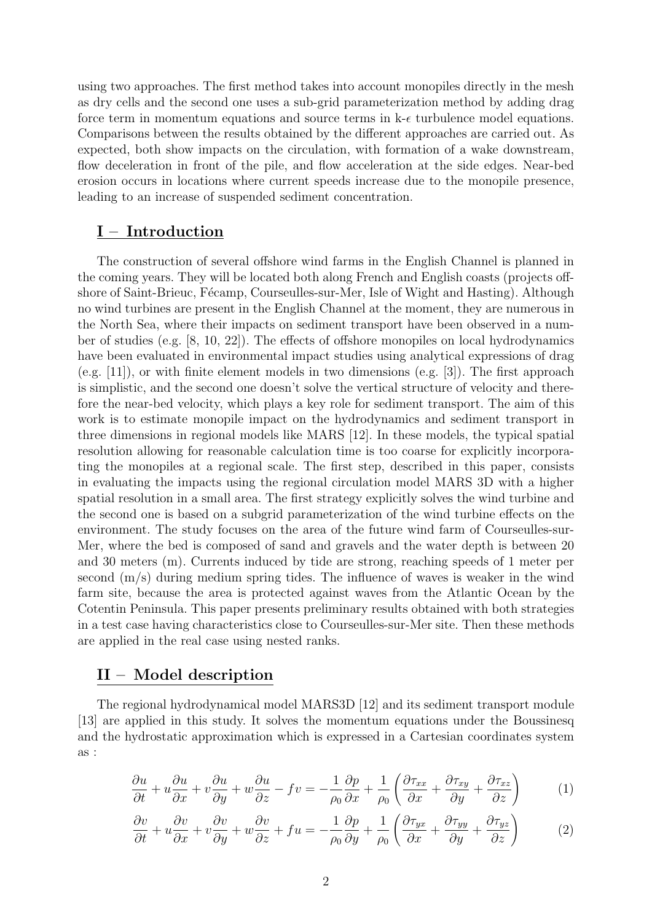using two approaches. The first method takes into account monopiles directly in the mesh as dry cells and the second one uses a sub-grid parameterization method by adding drag force term in momentum equations and source terms in  $k-\epsilon$  turbulence model equations. Comparisons between the results obtained by the different approaches are carried out. As expected, both show impacts on the circulation, with formation of a wake downstream, flow deceleration in front of the pile, and flow acceleration at the side edges. Near-bed erosion occurs in locations where current speeds increase due to the monopile presence, leading to an increase of suspended sediment concentration.

## I – Introduction

The construction of several offshore wind farms in the English Channel is planned in the coming years. They will be located both along French and English coasts (projects offshore of Saint-Brieuc, Fécamp, Courseulles-sur-Mer, Isle of Wight and Hasting). Although no wind turbines are present in the English Channel at the moment, they are numerous in the North Sea, where their impacts on sediment transport have been observed in a number of studies (e.g. [8, 10, 22]). The effects of offshore monopiles on local hydrodynamics have been evaluated in environmental impact studies using analytical expressions of drag (e.g. [11]), or with finite element models in two dimensions (e.g. [3]). The first approach is simplistic, and the second one doesn't solve the vertical structure of velocity and therefore the near-bed velocity, which plays a key role for sediment transport. The aim of this work is to estimate monopile impact on the hydrodynamics and sediment transport in three dimensions in regional models like MARS [12]. In these models, the typical spatial resolution allowing for reasonable calculation time is too coarse for explicitly incorporating the monopiles at a regional scale. The first step, described in this paper, consists in evaluating the impacts using the regional circulation model MARS 3D with a higher spatial resolution in a small area. The first strategy explicitly solves the wind turbine and the second one is based on a subgrid parameterization of the wind turbine effects on the environment. The study focuses on the area of the future wind farm of Courseulles-sur-Mer, where the bed is composed of sand and gravels and the water depth is between 20 and 30 meters (m). Currents induced by tide are strong, reaching speeds of 1 meter per second (m/s) during medium spring tides. The influence of waves is weaker in the wind farm site, because the area is protected against waves from the Atlantic Ocean by the Cotentin Peninsula. This paper presents preliminary results obtained with both strategies in a test case having characteristics close to Courseulles-sur-Mer site. Then these methods are applied in the real case using nested ranks.

## II – Model description

The regional hydrodynamical model MARS3D [12] and its sediment transport module [13] are applied in this study. It solves the momentum equations under the Boussinesq and the hydrostatic approximation which is expressed in a Cartesian coordinates system as :

$$
\frac{\partial u}{\partial t} + u \frac{\partial u}{\partial x} + v \frac{\partial u}{\partial y} + w \frac{\partial u}{\partial z} - fv = -\frac{1}{\rho_0} \frac{\partial p}{\partial x} + \frac{1}{\rho_0} \left( \frac{\partial \tau_{xx}}{\partial x} + \frac{\partial \tau_{xy}}{\partial y} + \frac{\partial \tau_{xz}}{\partial z} \right) \tag{1}
$$

$$
\frac{\partial v}{\partial t} + u \frac{\partial v}{\partial x} + v \frac{\partial v}{\partial y} + w \frac{\partial v}{\partial z} + fu = -\frac{1}{\rho_0} \frac{\partial p}{\partial y} + \frac{1}{\rho_0} \left( \frac{\partial \tau_{yx}}{\partial x} + \frac{\partial \tau_{yy}}{\partial y} + \frac{\partial \tau_{yz}}{\partial z} \right)
$$
(2)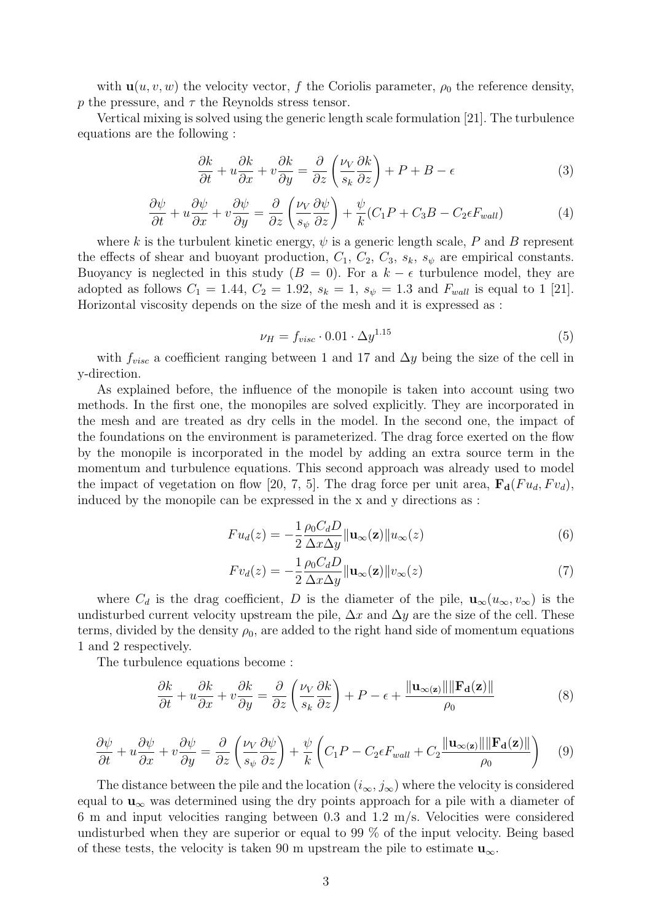with  $\mathbf{u}(u, v, w)$  the velocity vector, f the Coriolis parameter,  $\rho_0$  the reference density, p the pressure, and  $\tau$  the Reynolds stress tensor.

Vertical mixing is solved using the generic length scale formulation [21]. The turbulence equations are the following :

$$
\frac{\partial k}{\partial t} + u \frac{\partial k}{\partial x} + v \frac{\partial k}{\partial y} = \frac{\partial}{\partial z} \left( \frac{\nu_V}{s_k} \frac{\partial k}{\partial z} \right) + P + B - \epsilon \tag{3}
$$

$$
\frac{\partial \psi}{\partial t} + u \frac{\partial \psi}{\partial x} + v \frac{\partial \psi}{\partial y} = \frac{\partial}{\partial z} \left( \frac{\nu_V}{s_{\psi}} \frac{\partial \psi}{\partial z} \right) + \frac{\psi}{k} (C_1 P + C_3 B - C_2 \epsilon F_{wall}) \tag{4}
$$

where k is the turbulent kinetic energy,  $\psi$  is a generic length scale, P and B represent the effects of shear and buoyant production,  $C_1$ ,  $C_2$ ,  $C_3$ ,  $s_k$ ,  $s_{\psi}$  are empirical constants. Buoyancy is neglected in this study ( $B = 0$ ). For a  $k - \epsilon$  turbulence model, they are adopted as follows  $C_1 = 1.44$ ,  $C_2 = 1.92$ ,  $s_k = 1$ ,  $s_{\psi} = 1.3$  and  $F_{wall}$  is equal to 1 [21]. Horizontal viscosity depends on the size of the mesh and it is expressed as :

$$
\nu_H = f_{visc} \cdot 0.01 \cdot \Delta y^{1.15} \tag{5}
$$

with  $f_{visc}$  a coefficient ranging between 1 and 17 and  $\Delta y$  being the size of the cell in y-direction.

As explained before, the influence of the monopile is taken into account using two methods. In the first one, the monopiles are solved explicitly. They are incorporated in the mesh and are treated as dry cells in the model. In the second one, the impact of the foundations on the environment is parameterized. The drag force exerted on the flow by the monopile is incorporated in the model by adding an extra source term in the momentum and turbulence equations. This second approach was already used to model the impact of vegetation on flow [20, 7, 5]. The drag force per unit area,  $\mathbf{F}_{d}(Fu_{d}, F v_{d})$ , induced by the monopile can be expressed in the x and y directions as :

$$
Fu_d(z) = -\frac{1}{2} \frac{\rho_0 C_d D}{\Delta x \Delta y} ||\mathbf{u}_{\infty}(\mathbf{z})|| u_{\infty}(z)
$$
\n(6)

$$
Fv_d(z) = -\frac{1}{2} \frac{\rho_0 C_d D}{\Delta x \Delta y} ||\mathbf{u}_{\infty}(\mathbf{z})||v_{\infty}(z)
$$
\n(7)

where  $C_d$  is the drag coefficient, D is the diameter of the pile,  $\mathbf{u}_{\infty}(u_{\infty}, v_{\infty})$  is the undisturbed current velocity upstream the pile,  $\Delta x$  and  $\Delta y$  are the size of the cell. These terms, divided by the density  $\rho_0$ , are added to the right hand side of momentum equations 1 and 2 respectively.

The turbulence equations become :

$$
\frac{\partial k}{\partial t} + u \frac{\partial k}{\partial x} + v \frac{\partial k}{\partial y} = \frac{\partial}{\partial z} \left( \frac{\nu_V}{s_k} \frac{\partial k}{\partial z} \right) + P - \epsilon + \frac{\|\mathbf{u}_{\infty(\mathbf{z})}\| \|\mathbf{F}_{\mathbf{d}}(\mathbf{z})\|}{\rho_0}
$$
(8)

$$
\frac{\partial \psi}{\partial t} + u \frac{\partial \psi}{\partial x} + v \frac{\partial \psi}{\partial y} = \frac{\partial}{\partial z} \left( \frac{\nu_V}{s_{\psi}} \frac{\partial \psi}{\partial z} \right) + \frac{\psi}{k} \left( C_1 P - C_2 \epsilon F_{wall} + C_2 \frac{\|\mathbf{u}_{\infty(z)}\| \|\mathbf{F_d(z)}\|}{\rho_0} \right) \tag{9}
$$

The distance between the pile and the location  $(i_{\infty}, j_{\infty})$  where the velocity is considered equal to  $\mathbf{u}_{\infty}$  was determined using the dry points approach for a pile with a diameter of 6 m and input velocities ranging between 0.3 and 1.2 m/s. Velocities were considered undisturbed when they are superior or equal to 99 % of the input velocity. Being based of these tests, the velocity is taken 90 m upstream the pile to estimate  $\mathbf{u}_{\infty}$ .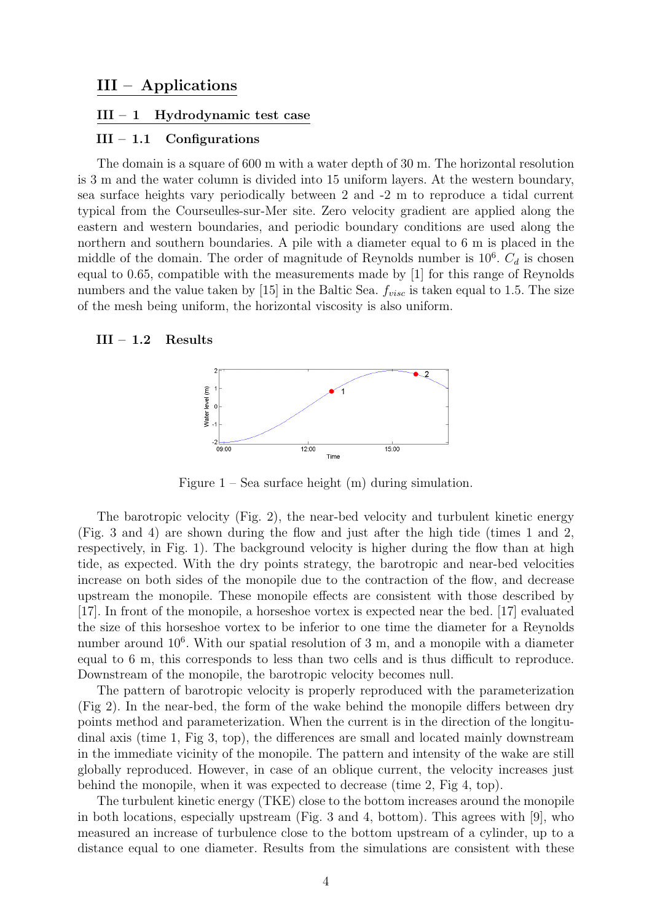### $III - 1$  Hydrodynamic test case

## $III - 1.1$  Configurations

The domain is a square of 600 m with a water depth of 30 m. The horizontal resolution is 3 m and the water column is divided into 15 uniform layers. At the western boundary, sea surface heights vary periodically between 2 and -2 m to reproduce a tidal current typical from the Courseulles-sur-Mer site. Zero velocity gradient are applied along the eastern and western boundaries, and periodic boundary conditions are used along the northern and southern boundaries. A pile with a diameter equal to 6 m is placed in the middle of the domain. The order of magnitude of Reynolds number is  $10^6$ .  $C_d$  is chosen equal to 0.65, compatible with the measurements made by [1] for this range of Reynolds numbers and the value taken by [15] in the Baltic Sea.  $f_{visc}$  is taken equal to 1.5. The size of the mesh being uniform, the horizontal viscosity is also uniform.

#### $III - 1.2$  Results



Figure  $1$  – Sea surface height  $(m)$  during simulation.

The barotropic velocity (Fig. 2), the near-bed velocity and turbulent kinetic energy (Fig. 3 and 4) are shown during the flow and just after the high tide (times 1 and 2, respectively, in Fig. 1). The background velocity is higher during the flow than at high tide, as expected. With the dry points strategy, the barotropic and near-bed velocities increase on both sides of the monopile due to the contraction of the flow, and decrease upstream the monopile. These monopile effects are consistent with those described by [17]. In front of the monopile, a horseshoe vortex is expected near the bed. [17] evaluated the size of this horseshoe vortex to be inferior to one time the diameter for a Reynolds number around  $10^6$ . With our spatial resolution of 3 m, and a monopile with a diameter equal to 6 m, this corresponds to less than two cells and is thus difficult to reproduce. Downstream of the monopile, the barotropic velocity becomes null.

The pattern of barotropic velocity is properly reproduced with the parameterization (Fig 2). In the near-bed, the form of the wake behind the monopile differs between dry points method and parameterization. When the current is in the direction of the longitudinal axis (time 1, Fig 3, top), the differences are small and located mainly downstream in the immediate vicinity of the monopile. The pattern and intensity of the wake are still globally reproduced. However, in case of an oblique current, the velocity increases just behind the monopile, when it was expected to decrease (time 2, Fig 4, top).

The turbulent kinetic energy (TKE) close to the bottom increases around the monopile in both locations, especially upstream (Fig. 3 and 4, bottom). This agrees with [9], who measured an increase of turbulence close to the bottom upstream of a cylinder, up to a distance equal to one diameter. Results from the simulations are consistent with these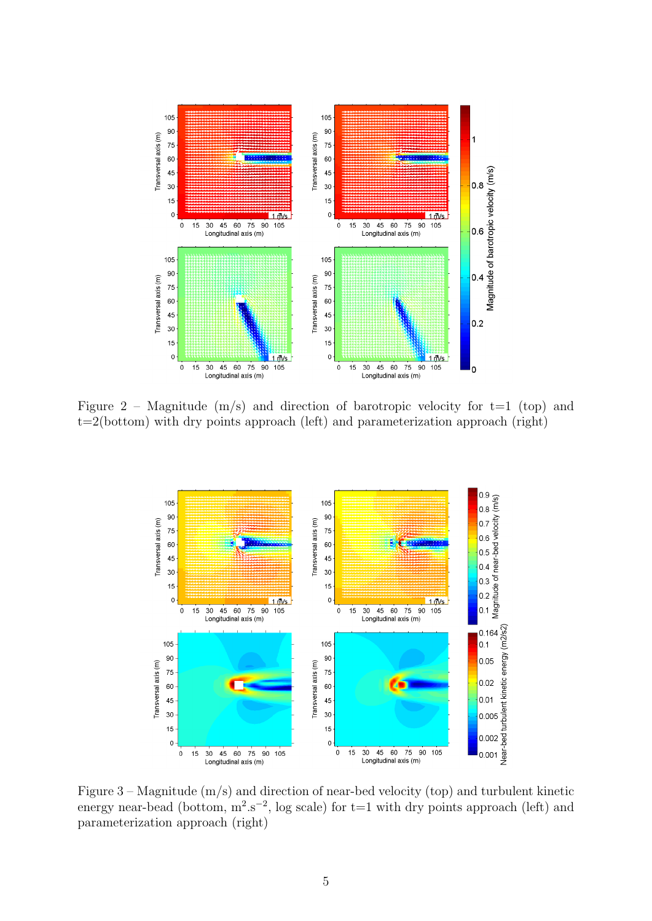

Figure 2 – Magnitude  $(m/s)$  and direction of barotropic velocity for t=1 (top) and t=2(bottom) with dry points approach (left) and parameterization approach (right)



Figure 3 – Magnitude (m/s) and direction of near-bed velocity (top) and turbulent kinetic energy near-bead (bottom,  $m^2.s^{-2}$ , log scale) for t=1 with dry points approach (left) and parameterization approach (right)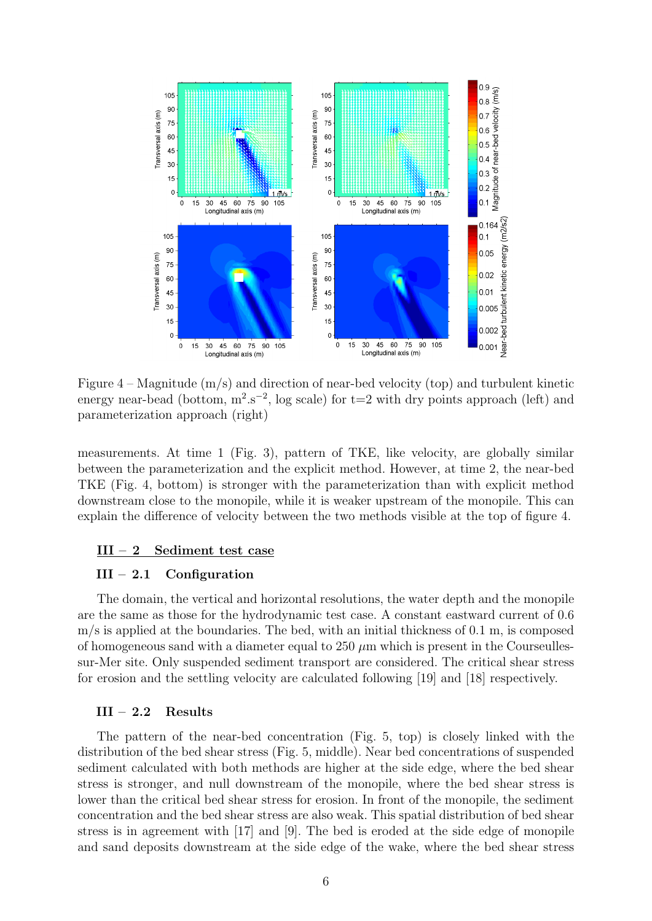

Figure 4 – Magnitude (m/s) and direction of near-bed velocity (top) and turbulent kinetic energy near-bead (bottom,  $m^2.s^{-2}$ , log scale) for t=2 with dry points approach (left) and parameterization approach (right)

measurements. At time 1 (Fig. 3), pattern of TKE, like velocity, are globally similar between the parameterization and the explicit method. However, at time 2, the near-bed TKE (Fig. 4, bottom) is stronger with the parameterization than with explicit method downstream close to the monopile, while it is weaker upstream of the monopile. This can explain the difference of velocity between the two methods visible at the top of figure 4.

## III – 2 Sediment test case

#### $III - 2.1$  Configuration

The domain, the vertical and horizontal resolutions, the water depth and the monopile are the same as those for the hydrodynamic test case. A constant eastward current of 0.6 m/s is applied at the boundaries. The bed, with an initial thickness of 0.1 m, is composed of homogeneous sand with a diameter equal to  $250 \mu m$  which is present in the Courseullessur-Mer site. Only suspended sediment transport are considered. The critical shear stress for erosion and the settling velocity are calculated following [19] and [18] respectively.

#### III – 2.2 Results

The pattern of the near-bed concentration (Fig. 5, top) is closely linked with the distribution of the bed shear stress (Fig. 5, middle). Near bed concentrations of suspended sediment calculated with both methods are higher at the side edge, where the bed shear stress is stronger, and null downstream of the monopile, where the bed shear stress is lower than the critical bed shear stress for erosion. In front of the monopile, the sediment concentration and the bed shear stress are also weak. This spatial distribution of bed shear stress is in agreement with [17] and [9]. The bed is eroded at the side edge of monopile and sand deposits downstream at the side edge of the wake, where the bed shear stress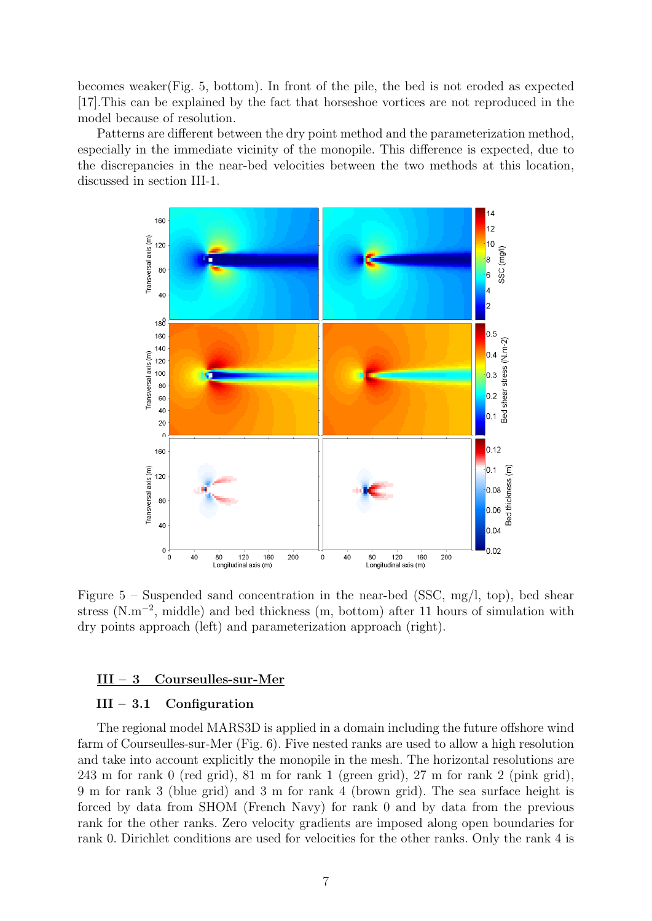becomes weaker(Fig. 5, bottom). In front of the pile, the bed is not eroded as expected [17].This can be explained by the fact that horseshoe vortices are not reproduced in the model because of resolution.

Patterns are different between the dry point method and the parameterization method, especially in the immediate vicinity of the monopile. This difference is expected, due to the discrepancies in the near-bed velocities between the two methods at this location, discussed in section III-1.



Figure  $5$  – Suspended sand concentration in the near-bed (SSC, mg/l, top), bed shear stress (N.m<sup>-2</sup>, middle) and bed thickness (m, bottom) after 11 hours of simulation with dry points approach (left) and parameterization approach (right).

## III – 3 Courseulles-sur-Mer

## III – 3.1 Configuration

The regional model MARS3D is applied in a domain including the future offshore wind farm of Courseulles-sur-Mer (Fig. 6). Five nested ranks are used to allow a high resolution and take into account explicitly the monopile in the mesh. The horizontal resolutions are 243 m for rank 0 (red grid), 81 m for rank 1 (green grid), 27 m for rank 2 (pink grid), 9 m for rank 3 (blue grid) and 3 m for rank 4 (brown grid). The sea surface height is forced by data from SHOM (French Navy) for rank 0 and by data from the previous rank for the other ranks. Zero velocity gradients are imposed along open boundaries for rank 0. Dirichlet conditions are used for velocities for the other ranks. Only the rank 4 is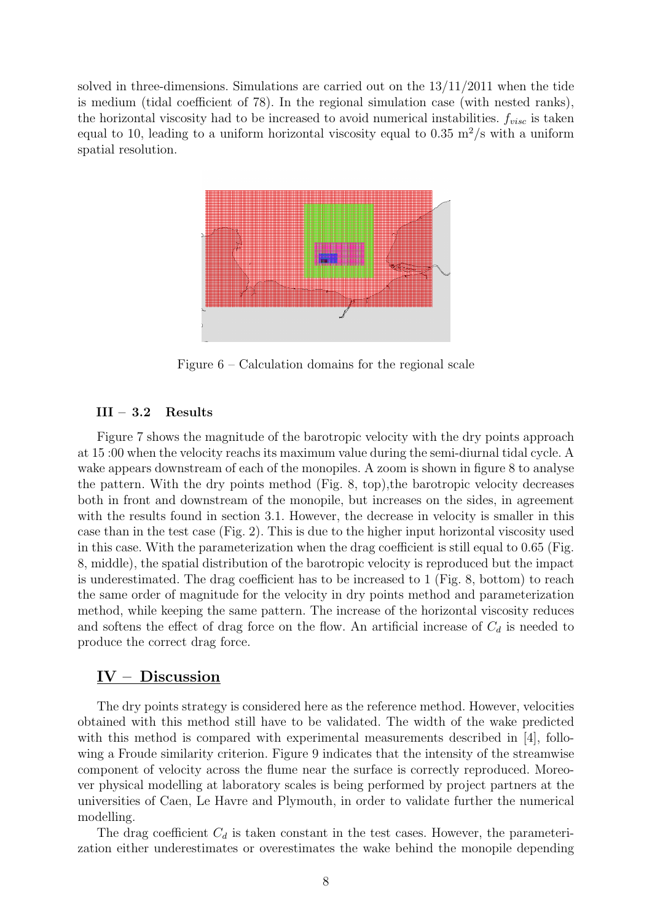solved in three-dimensions. Simulations are carried out on the  $13/11/2011$  when the tide is medium (tidal coefficient of 78). In the regional simulation case (with nested ranks), the horizontal viscosity had to be increased to avoid numerical instabilities.  $f_{visc}$  is taken equal to 10, leading to a uniform horizontal viscosity equal to 0.35 m<sup>2</sup>/s with a uniform spatial resolution.



Figure 6 – Calculation domains for the regional scale

## III – 3.2 Results

Figure 7 shows the magnitude of the barotropic velocity with the dry points approach at 15 :00 when the velocity reachs its maximum value during the semi-diurnal tidal cycle. A wake appears downstream of each of the monopiles. A zoom is shown in figure 8 to analyse the pattern. With the dry points method (Fig. 8, top),the barotropic velocity decreases both in front and downstream of the monopile, but increases on the sides, in agreement with the results found in section 3.1. However, the decrease in velocity is smaller in this case than in the test case (Fig. 2). This is due to the higher input horizontal viscosity used in this case. With the parameterization when the drag coefficient is still equal to 0.65 (Fig. 8, middle), the spatial distribution of the barotropic velocity is reproduced but the impact is underestimated. The drag coefficient has to be increased to 1 (Fig. 8, bottom) to reach the same order of magnitude for the velocity in dry points method and parameterization method, while keeping the same pattern. The increase of the horizontal viscosity reduces and softens the effect of drag force on the flow. An artificial increase of  $C_d$  is needed to produce the correct drag force.

## IV – Discussion

The dry points strategy is considered here as the reference method. However, velocities obtained with this method still have to be validated. The width of the wake predicted with this method is compared with experimental measurements described in [4], following a Froude similarity criterion. Figure 9 indicates that the intensity of the streamwise component of velocity across the flume near the surface is correctly reproduced. Moreover physical modelling at laboratory scales is being performed by project partners at the universities of Caen, Le Havre and Plymouth, in order to validate further the numerical modelling.

The drag coefficient  $C_d$  is taken constant in the test cases. However, the parameterization either underestimates or overestimates the wake behind the monopile depending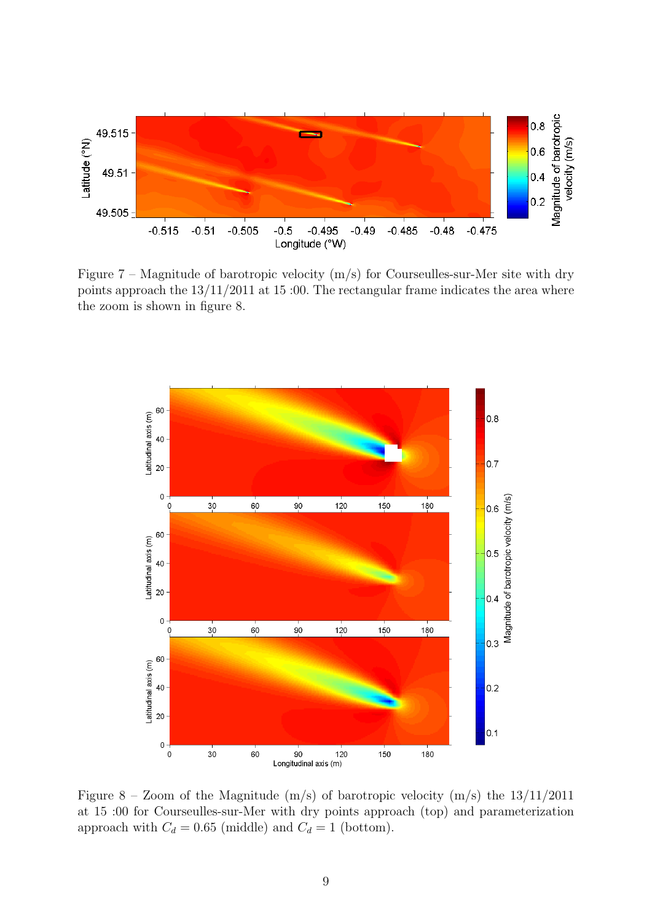

Figure  $7$  – Magnitude of barotropic velocity  $(m/s)$  for Courseulles-sur-Mer site with dry points approach the  $13/11/2011$  at  $15:00$ . The rectangular frame indicates the area where the zoom is shown in figure 8.



Figure 8 – Zoom of the Magnitude  $(m/s)$  of barotropic velocity  $(m/s)$  the  $13/11/2011$ at 15 :00 for Courseulles-sur-Mer with dry points approach (top) and parameterization approach with  $C_d = 0.65$  (middle) and  $C_d = 1$  (bottom).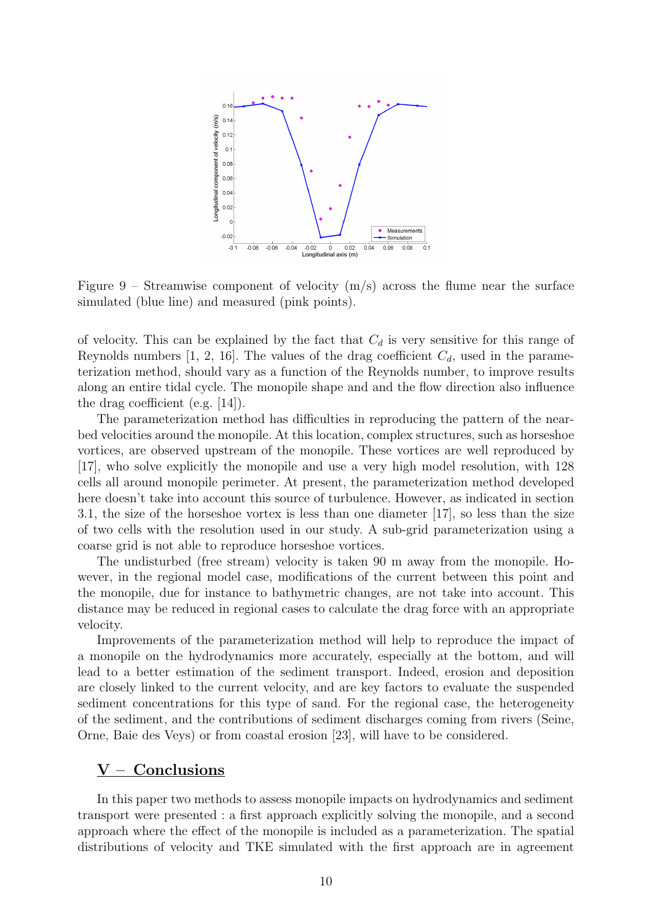

Figure 9 – Streamwise component of velocity  $(m/s)$  across the flume near the surface simulated (blue line) and measured (pink points).

of velocity. This can be explained by the fact that  $C_d$  is very sensitive for this range of Reynolds numbers [1, 2, 16]. The values of the drag coefficient  $C_d$ , used in the parameterization method, should vary as a function of the Reynolds number, to improve results along an entire tidal cycle. The monopile shape and and the flow direction also influence the drag coefficient (e.g. [14]).

The parameterization method has difficulties in reproducing the pattern of the nearbed velocities around the monopile. At this location, complex structures, such as horseshoe vortices, are observed upstream of the monopile. These vortices are well reproduced by [17], who solve explicitly the monopile and use a very high model resolution, with 128 cells all around monopile perimeter. At present, the parameterization method developed here doesn't take into account this source of turbulence. However, as indicated in section 3.1, the size of the horseshoe vortex is less than one diameter [17], so less than the size of two cells with the resolution used in our study. A sub-grid parameterization using a coarse grid is not able to reproduce horseshoe vortices.

The undisturbed (free stream) velocity is taken 90 m away from the monopile. However, in the regional model case, modifications of the current between this point and the monopile, due for instance to bathymetric changes, are not take into account. This distance may be reduced in regional cases to calculate the drag force with an appropriate velocity.

Improvements of the parameterization method will help to reproduce the impact of a monopile on the hydrodynamics more accurately, especially at the bottom, and will lead to a better estimation of the sediment transport. Indeed, erosion and deposition are closely linked to the current velocity, and are key factors to evaluate the suspended sediment concentrations for this type of sand. For the regional case, the heterogeneity of the sediment, and the contributions of sediment discharges coming from rivers (Seine, Orne, Baie des Veys) or from coastal erosion [23], will have to be considered.

## $V -$  Conclusions

In this paper two methods to assess monopile impacts on hydrodynamics and sediment transport were presented : a first approach explicitly solving the monopile, and a second approach where the effect of the monopile is included as a parameterization. The spatial distributions of velocity and TKE simulated with the first approach are in agreement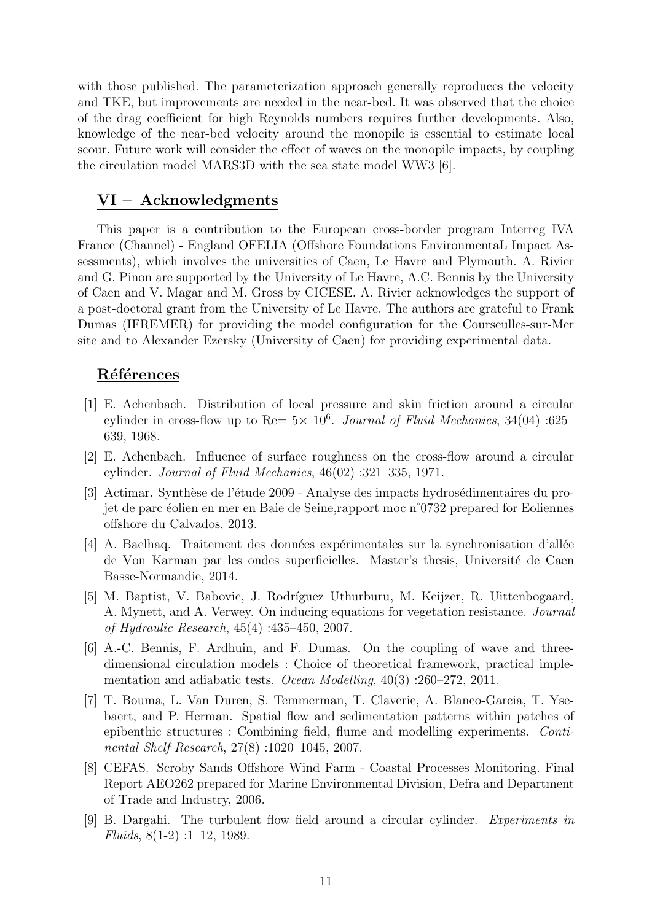with those published. The parameterization approach generally reproduces the velocity and TKE, but improvements are needed in the near-bed. It was observed that the choice of the drag coefficient for high Reynolds numbers requires further developments. Also, knowledge of the near-bed velocity around the monopile is essential to estimate local scour. Future work will consider the effect of waves on the monopile impacts, by coupling the circulation model MARS3D with the sea state model WW3 [6].

## VI – Acknowledgments

This paper is a contribution to the European cross-border program Interreg IVA France (Channel) - England OFELIA (Offshore Foundations EnvironmentaL Impact Assessments), which involves the universities of Caen, Le Havre and Plymouth. A. Rivier and G. Pinon are supported by the University of Le Havre, A.C. Bennis by the University of Caen and V. Magar and M. Gross by CICESE. A. Rivier acknowledges the support of a post-doctoral grant from the University of Le Havre. The authors are grateful to Frank Dumas (IFREMER) for providing the model configuration for the Courseulles-sur-Mer site and to Alexander Ezersky (University of Caen) for providing experimental data.

## Références

- [1] E. Achenbach. Distribution of local pressure and skin friction around a circular cylinder in cross-flow up to Re=  $5 \times 10^6$ . Journal of Fluid Mechanics, 34(04) :625– 639, 1968.
- [2] E. Achenbach. Influence of surface roughness on the cross-flow around a circular cylinder. Journal of Fluid Mechanics, 46(02) :321–335, 1971.
- [3] Actimar. Synthèse de l'étude 2009 Analyse des impacts hydrosédimentaires du projet de parc ´eolien en mer en Baie de Seine,rapport moc n˚0732 prepared for Eoliennes offshore du Calvados, 2013.
- [4] A. Baelhaq. Traitement des données expérimentales sur la synchronisation d'allée de Von Karman par les ondes superficielles. Master's thesis, Université de Caen Basse-Normandie, 2014.
- [5] M. Baptist, V. Babovic, J. Rodríguez Uthurburu, M. Keijzer, R. Uittenbogaard, A. Mynett, and A. Verwey. On inducing equations for vegetation resistance. Journal of Hydraulic Research, 45(4) :435–450, 2007.
- [6] A.-C. Bennis, F. Ardhuin, and F. Dumas. On the coupling of wave and threedimensional circulation models : Choice of theoretical framework, practical implementation and adiabatic tests. Ocean Modelling, 40(3) :260–272, 2011.
- [7] T. Bouma, L. Van Duren, S. Temmerman, T. Claverie, A. Blanco-Garcia, T. Ysebaert, and P. Herman. Spatial flow and sedimentation patterns within patches of epibenthic structures : Combining field, flume and modelling experiments. Continental Shelf Research, 27(8) :1020–1045, 2007.
- [8] CEFAS. Scroby Sands Offshore Wind Farm Coastal Processes Monitoring. Final Report AEO262 prepared for Marine Environmental Division, Defra and Department of Trade and Industry, 2006.
- [9] B. Dargahi. The turbulent flow field around a circular cylinder. Experiments in Fluids, 8(1-2) :1–12, 1989.